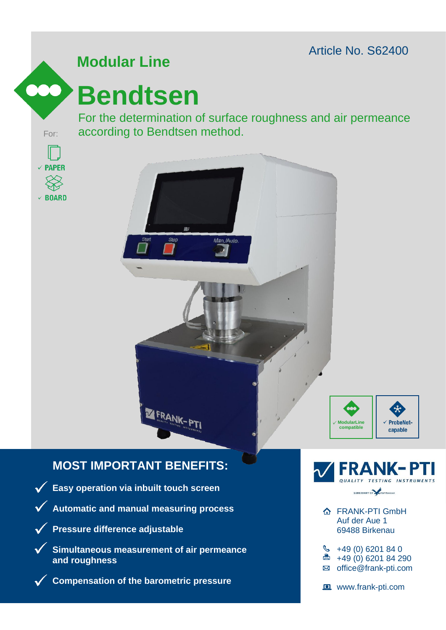Article No. S62400



# **Modular Line**

# **Bendtsen**

For the determination of surface roughness and air permeance For: according to Bendtsen method.







## **MOST IMPORTANT BENEFITS:**



**Compensation of the barometric pressure**



- **A** FRANK-PTI GmbH Auf der Aue 1 69488 Birkenau
- $\frac{1}{2}$  +49 (0) 6201 84 0
- □ +49 (0) 6201 84 290
- ⊠ office@frank-pti.com
- www.frank-pti.com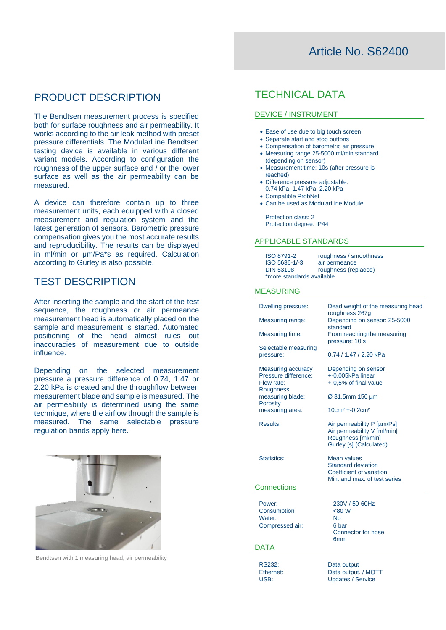## Article No. S62400

## PRODUCT DESCRIPTION

The Bendtsen measurement process is specified both for surface roughness and air permeability. It works according to the air leak method with preset pressure differentials. The ModularLine Bendtsen testing device is available in various different variant models. According to configuration the roughness of the upper surface and / or the lower surface as well as the air permeability can be measured.

A device can therefore contain up to three measurement units, each equipped with a closed measurement and regulation system and the latest generation of sensors. Barometric pressure compensation gives you the most accurate results and reproducibility. The results can be displayed in ml/min or μm/Pa\*s as required. Calculation according to Gurley is also possible.

### TEST DESCRIPTION

After inserting the sample and the start of the test sequence, the roughness or air permeance measurement head is automatically placed on the sample and measurement is started. Automated positioning of the head almost rules out inaccuracies of measurement due to outside influence.

Depending on the selected measurement pressure a pressure difference of 0.74, 1.47 or 2.20 kPa is created and the throughflow between measurement blade and sample is measured. The air permeability is determined using the same technique, where the airflow through the sample is measured. The same selectable pressure regulation bands apply here.



Bendtsen with 1 measuring head, air permeability

## TECHNICAL DATA

#### DEVICE / INSTRUMENT

- Ease of use due to big touch screen
- Separate start and stop buttons
- Compensation of barometric air pressure
- Measuring range 25-5000 ml/min standard
- (depending on sensor)
- Measurement time: 10s (after pressure is reached)
- Difference pressure adjustable: 0.74 kPa, 1.47 kPa, 2.20 kPa
- Compatible ProbNet
- $\bullet$  Can be used as ModularLine Module

Protection class: 2 Protection degree: IP44

#### APPLICABLE STANDARDS

| ISO 8791-2                | roughness / smoothness |
|---------------------------|------------------------|
| ISO 5636-1/-3             | air permeance          |
| <b>DIN 53108</b>          | roughness (replaced)   |
| *more standards available |                        |

#### MEASURING

| Dwelling pressure:                                 | Dead weight of the measuring head<br>roughness 267g                                                         |
|----------------------------------------------------|-------------------------------------------------------------------------------------------------------------|
| Measuring range:                                   | Depending on sensor: 25-5000<br>standard                                                                    |
| <b>Measuring time:</b>                             | From reaching the measuring<br>pressure: 10 s                                                               |
| Selectable measuring<br>pressure:                  | 0,74 / 1,47 / 2,20 kPa                                                                                      |
| <b>Measuring accuracy</b><br>Pressure difference:  | Depending on sensor                                                                                         |
| Flow rate:                                         | +-0,005kPa linear<br>+-0,5% of final value                                                                  |
| Roughness<br>measuring blade:<br>Porosity          | Ø 31,5mm 150 µm                                                                                             |
| measuring area:                                    | $10cm2 + 0.2cm2$                                                                                            |
| <b>Results:</b>                                    | Air permeability P [µm/Ps]<br>Air permeability V [ml/min]<br>Roughness [ml/min]<br>Gurley [s] (Calculated)  |
| Statistics:                                        | <b>Mean values</b><br><b>Standard deviation</b><br>Coefficient of variation<br>Min. and max. of test series |
| Connections                                        |                                                                                                             |
| Power:<br>Consumption<br>Water:<br>Compressed air: | 230V / 50-60Hz<br><80 W<br>No<br>6 bar<br><b>Connector for hose</b><br>6mm                                  |
| <b>DATA</b>                                        |                                                                                                             |
| <b>RS232:</b><br>Ethernet:                         | Data output<br>Data output. / MQTT                                                                          |

USB: Updates / Service